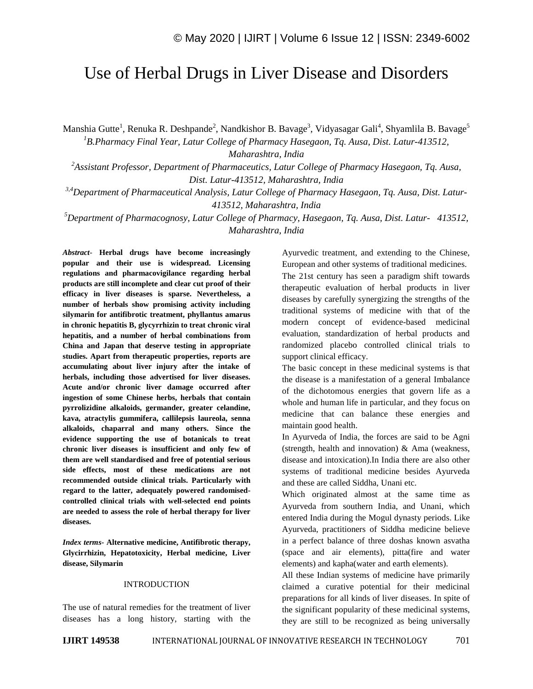# Use of Herbal Drugs in Liver Disease and Disorders

Manshia Gutte<sup>1</sup>, Renuka R. Deshpande<sup>2</sup>, Nandkishor B. Bavage<sup>3</sup>, Vidyasagar Gali<sup>4</sup>, Shyamlila B. Bavage<sup>5</sup> *<sup>1</sup>B.Pharmacy Final Year, Latur College of Pharmacy Hasegaon, Tq. Ausa, Dist. Latur-413512,*

*Maharashtra, India*

*<sup>2</sup>Assistant Professor, Department of Pharmaceutics, Latur College of Pharmacy Hasegaon, Tq. Ausa, Dist. Latur-413512, Maharashtra, India*

*3,4Department of Pharmaceutical Analysis, Latur College of Pharmacy Hasegaon, Tq. Ausa, Dist. Latur-413512, Maharashtra, India*

*<sup>5</sup>Department of Pharmacognosy, Latur College of Pharmacy, Hasegaon, Tq. Ausa, Dist. Latur- 413512, Maharashtra, India*

*Abstract*- **Herbal drugs have become increasingly popular and their use is widespread. Licensing regulations and pharmacovigilance regarding herbal products are still incomplete and clear cut proof of their efficacy in liver diseases is sparse. Nevertheless, a number of herbals show promising activity including silymarin for antifibrotic treatment, phyllantus amarus in chronic hepatitis B, glycyrrhizin to treat chronic viral hepatitis, and a number of herbal combinations from China and Japan that deserve testing in appropriate studies. Apart from therapeutic properties, reports are accumulating about liver injury after the intake of herbals, including those advertised for liver diseases. Acute and/or chronic liver damage occurred after ingestion of some Chinese herbs, herbals that contain pyrrolizidine alkaloids, germander, greater celandine, kava, atractylis gummifera, callilepsis laureola, senna alkaloids, chaparral and many others. Since the evidence supporting the use of botanicals to treat chronic liver diseases is insufficient and only few of them are well standardised and free of potential serious side effects, most of these medications are not recommended outside clinical trials. Particularly with regard to the latter, adequately powered randomisedcontrolled clinical trials with well-selected end points are needed to assess the role of herbal therapy for liver diseases.**

*Index terms***- Alternative medicine, Antifibrotic therapy, Glycirrhizin, Hepatotoxicity, Herbal medicine, Liver disease, Silymarin**

# INTRODUCTION

The use of natural remedies for the treatment of liver diseases has a long history, starting with the Ayurvedic treatment, and extending to the Chinese, European and other systems of traditional medicines. The 21st century has seen a paradigm shift towards therapeutic evaluation of herbal products in liver diseases by carefully synergizing the strengths of the traditional systems of medicine with that of the modern concept of evidence-based medicinal evaluation, standardization of herbal products and randomized placebo controlled clinical trials to support clinical efficacy.

The basic concept in these medicinal systems is that the disease is a manifestation of a general Imbalance of the dichotomous energies that govern life as a whole and human life in particular, and they focus on medicine that can balance these energies and maintain good health.

In Ayurveda of India, the forces are said to be Agni (strength, health and innovation) & Ama (weakness, disease and intoxication).In India there are also other systems of traditional medicine besides Ayurveda and these are called Siddha, Unani etc.

Which originated almost at the same time as Ayurveda from southern India, and Unani, which entered India during the Mogul dynasty periods. Like Ayurveda, practitioners of Siddha medicine believe in a perfect balance of three doshas known asvatha (space and air elements), pitta(fire and water elements) and kapha(water and earth elements).

All these Indian systems of medicine have primarily claimed a curative potential for their medicinal preparations for all kinds of liver diseases. In spite of the significant popularity of these medicinal systems, they are still to be recognized as being universally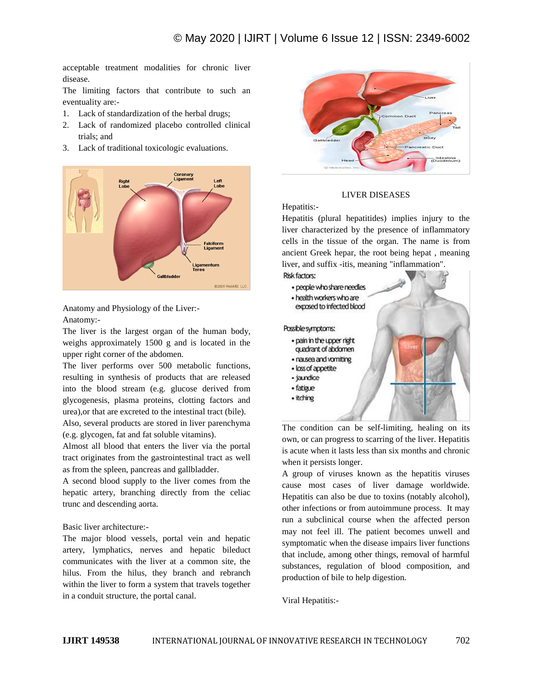acceptable treatment modalities for chronic liver disease.

The limiting factors that contribute to such an eventuality are:-

- 1. Lack of standardization of the herbal drugs;
- 2. Lack of randomized placebo controlled clinical trials; and
- 3. Lack of traditional toxicologic evaluations.



Anatomy and Physiology of the Liver:- Anatomy:-

The liver is the largest organ of the human body, weighs approximately 1500 g and is located in the upper right corner of the abdomen.

The liver performs over 500 metabolic functions, resulting in synthesis of products that are released into the blood stream (e.g. glucose derived from glycogenesis, plasma proteins, clotting factors and urea),or that are excreted to the intestinal tract (bile).

Also, several products are stored in liver parenchyma (e.g. glycogen, fat and fat soluble vitamins).

Almost all blood that enters the liver via the portal tract originates from the gastrointestinal tract as well as from the spleen, pancreas and gallbladder.

A second blood supply to the liver comes from the hepatic artery, branching directly from the celiac trunc and descending aorta.

# Basic liver architecture:-

The major blood vessels, portal vein and hepatic artery, lymphatics, nerves and hepatic bileduct communicates with the liver at a common site, the hilus. From the hilus, they branch and rebranch within the liver to form a system that travels together in a conduit structure, the portal canal.



## LIVER DISEASES

Hepatitis:-

Hepatitis (plural hepatitides) implies injury to the liver characterized by the presence of inflammatory cells in the tissue of the organ. The name is from ancient Greek hepar, the root being hepat , meaning liver, and suffix -itis, meaning "inflammation".



The condition can be self-limiting, healing on its own, or can progress to scarring of the liver. Hepatitis is acute when it lasts less than six months and chronic when it persists longer.

A group of viruses known as the hepatitis viruses cause most cases of liver damage worldwide. Hepatitis can also be due to toxins (notably alcohol), other infections or from autoimmune process. It may run a subclinical course when the affected person may not feel ill. The patient becomes unwell and symptomatic when the disease impairs liver functions that include, among other things, removal of harmful substances, regulation of blood composition, and production of bile to help digestion.

Viral Hepatitis:-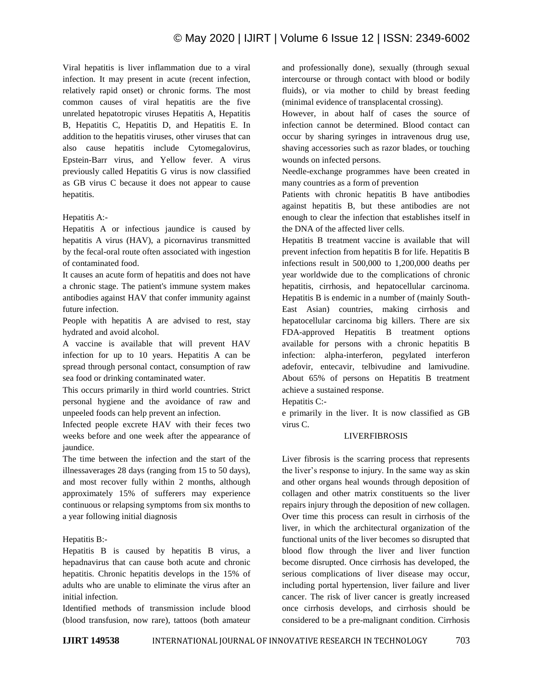Viral hepatitis is liver inflammation due to a viral infection. It may present in acute (recent infection, relatively rapid onset) or chronic forms. The most common causes of viral hepatitis are the five unrelated hepatotropic viruses Hepatitis A, Hepatitis B, Hepatitis C, Hepatitis D, and Hepatitis E. In addition to the hepatitis viruses, other viruses that can also cause hepatitis include Cytomegalovirus, Epstein-Barr virus, and Yellow fever. A virus previously called Hepatitis G virus is now classified as GB virus C because it does not appear to cause hepatitis.

# Hepatitis A:-

Hepatitis A or infectious jaundice is caused by hepatitis A virus (HAV), a picornavirus transmitted by the fecal-oral route often associated with ingestion of contaminated food.

It causes an acute form of hepatitis and does not have a chronic stage. The patient's immune system makes antibodies against HAV that confer immunity against future infection.

People with hepatitis A are advised to rest, stay hydrated and avoid alcohol.

A vaccine is available that will prevent HAV infection for up to 10 years. Hepatitis A can be spread through personal contact, consumption of raw sea food or drinking contaminated water.

This occurs primarily in third world countries. Strict personal hygiene and the avoidance of raw and unpeeled foods can help prevent an infection.

Infected people excrete HAV with their feces two weeks before and one week after the appearance of jaundice.

The time between the infection and the start of the illnessaverages 28 days (ranging from 15 to 50 days), and most recover fully within 2 months, although approximately 15% of sufferers may experience continuous or relapsing symptoms from six months to a year following initial diagnosis

#### Hepatitis B:-

Hepatitis B is caused by hepatitis B virus, a hepadnavirus that can cause both acute and chronic hepatitis. Chronic hepatitis develops in the 15% of adults who are unable to eliminate the virus after an initial infection.

Identified methods of transmission include blood (blood transfusion, now rare), tattoos (both amateur and professionally done), sexually (through sexual intercourse or through contact with blood or bodily fluids), or via mother to child by breast feeding (minimal evidence of transplacental crossing).

However, in about half of cases the source of infection cannot be determined. Blood contact can occur by sharing syringes in intravenous drug use, shaving accessories such as razor blades, or touching wounds on infected persons.

Needle-exchange programmes have been created in many countries as a form of prevention

Patients with chronic hepatitis B have antibodies against hepatitis B, but these antibodies are not enough to clear the infection that establishes itself in the DNA of the affected liver cells.

Hepatitis B treatment vaccine is available that will prevent infection from hepatitis B for life. Hepatitis B infections result in 500,000 to 1,200,000 deaths per year worldwide due to the complications of chronic hepatitis, cirrhosis, and hepatocellular carcinoma. Hepatitis B is endemic in a number of (mainly South-East Asian) countries, making cirrhosis and hepatocellular carcinoma big killers. There are six FDA-approved Hepatitis B treatment options available for persons with a chronic hepatitis B infection: alpha-interferon, pegylated interferon adefovir, entecavir, telbivudine and lamivudine. About 65% of persons on Hepatitis B treatment achieve a sustained response.

Hepatitis C:-

e primarily in the liver. It is now classified as GB virus C.

## **LIVERFIBROSIS**

Liver fibrosis is the scarring process that represents the liver's response to injury. In the same way as skin and other organs heal wounds through deposition of collagen and other matrix constituents so the liver repairs injury through the deposition of new collagen. Over time this process can result in cirrhosis of the liver, in which the architectural organization of the functional units of the liver becomes so disrupted that blood flow through the liver and liver function become disrupted. Once cirrhosis has developed, the serious complications of liver disease may occur, including portal hypertension, liver failure and liver cancer. The risk of liver cancer is greatly increased once cirrhosis develops, and cirrhosis should be considered to be a pre-malignant condition. Cirrhosis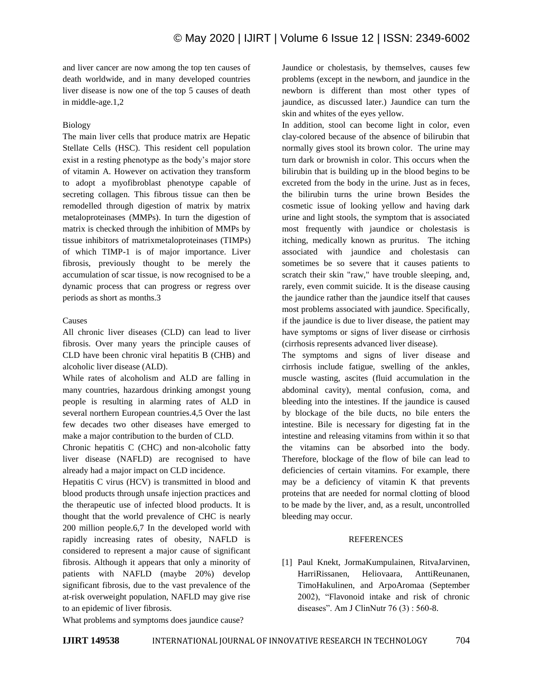and liver cancer are now among the top ten causes of death worldwide, and in many developed countries liver disease is now one of the top 5 causes of death in middle-age.1,2

## Biology

The main liver cells that produce matrix are Hepatic Stellate Cells (HSC). This resident cell population exist in a resting phenotype as the body's major store of vitamin A. However on activation they transform to adopt a myofibroblast phenotype capable of secreting collagen. This fibrous tissue can then be remodelled through digestion of matrix by matrix metaloproteinases (MMPs). In turn the digestion of matrix is checked through the inhibition of MMPs by tissue inhibitors of matrixmetaloproteinases (TIMPs) of which TIMP-1 is of major importance. Liver fibrosis, previously thought to be merely the accumulation of scar tissue, is now recognised to be a dynamic process that can progress or regress over periods as short as months.3

## Causes

All chronic liver diseases (CLD) can lead to liver fibrosis. Over many years the principle causes of CLD have been chronic viral hepatitis B (CHB) and alcoholic liver disease (ALD).

While rates of alcoholism and ALD are falling in many countries, hazardous drinking amongst young people is resulting in alarming rates of ALD in several northern European countries.4,5 Over the last few decades two other diseases have emerged to make a major contribution to the burden of CLD.

Chronic hepatitis C (CHC) and non-alcoholic fatty liver disease (NAFLD) are recognised to have already had a major impact on CLD incidence.

Hepatitis C virus (HCV) is transmitted in blood and blood products through unsafe injection practices and the therapeutic use of infected blood products. It is thought that the world prevalence of CHC is nearly 200 million people.6,7 In the developed world with rapidly increasing rates of obesity, NAFLD is considered to represent a major cause of significant fibrosis. Although it appears that only a minority of patients with NAFLD (maybe 20%) develop significant fibrosis, due to the vast prevalence of the at-risk overweight population, NAFLD may give rise to an epidemic of liver fibrosis.

Jaundice or cholestasis, by themselves, causes few problems (except in the newborn, and jaundice in the newborn is different than most other types of jaundice, as discussed later.) Jaundice can turn the skin and whites of the eyes yellow.

In addition, stool can become light in color, even clay-colored because of the absence of bilirubin that normally gives stool its brown color. The urine may turn dark or brownish in color. This occurs when the bilirubin that is building up in the blood begins to be excreted from the body in the urine. Just as in feces, the bilirubin turns the urine brown Besides the cosmetic issue of looking yellow and having dark urine and light stools, the symptom that is associated most frequently with jaundice or cholestasis is itching, medically known as pruritus. The itching associated with jaundice and cholestasis can sometimes be so severe that it causes patients to scratch their skin "raw," have trouble sleeping, and, rarely, even commit suicide. It is the disease causing the jaundice rather than the jaundice itself that causes most problems associated with jaundice. Specifically, if the jaundice is due to liver disease, the patient may have symptoms or signs of liver disease or cirrhosis (cirrhosis represents advanced liver disease).

The symptoms and signs of liver disease and cirrhosis include fatigue, swelling of the ankles, muscle wasting, ascites (fluid accumulation in the abdominal cavity), mental confusion, coma, and bleeding into the intestines. If the jaundice is caused by blockage of the bile ducts, no bile enters the intestine. Bile is necessary for digesting fat in the intestine and releasing vitamins from within it so that the vitamins can be absorbed into the body. Therefore, blockage of the flow of bile can lead to deficiencies of certain vitamins. For example, there may be a deficiency of vitamin K that prevents proteins that are needed for normal clotting of blood to be made by the liver, and, as a result, uncontrolled bleeding may occur.

#### REFERENCES

[1] Paul Knekt, JormaKumpulainen, RitvaJarvinen, HarriRissanen, Heliovaara, AnttiReunanen, TimoHakulinen, and ArpoAromaa (September 2002), "Flavonoid intake and risk of chronic diseases". Am J ClinNutr 76 (3) : 560-8.

What problems and symptoms does jaundice cause?